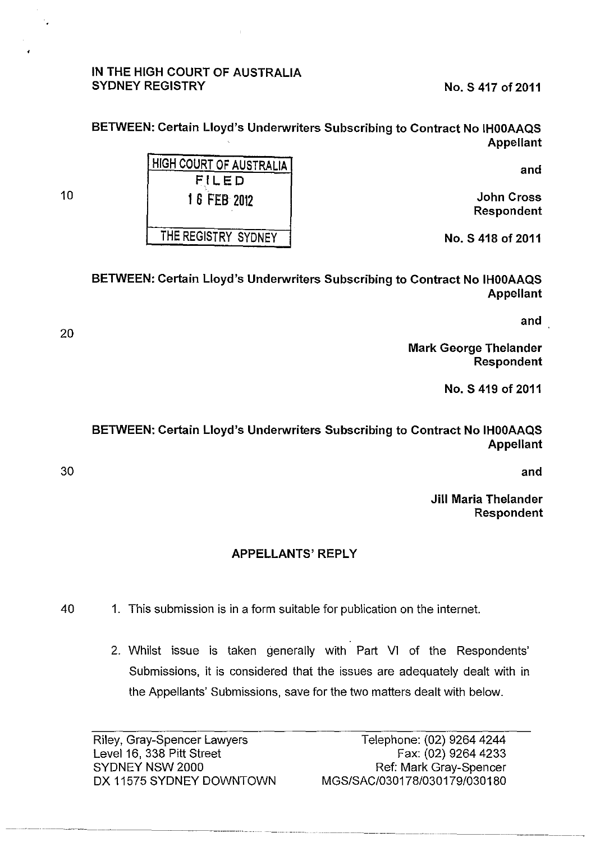## IN THE HIGH COURT OF AUSTRALIA SYDNEY REGISTRY No. S 417 of 2011

BETWEEN: Certain Lloyd's Underwriters Subscribing to Contract No IHOOAAQS Appellant

and

John Cross Respondent

No. S 418 of 2011

HIGH COURT OF AUSTRALIA FILED 1 6 FEB 2012 THE REGISTRY SYDNEY

10

BETWEEN: Certain Lloyd's Underwriters Subscribing to Contract No IHOOAAQS Appellant

and

Mark George Thelander Respondent

No. S 419 of 2011

BETWEEN: Certain Lloyd's Underwriters Subscribing to Contract No IHOOAAQS Appellant

and

Jill Maria Thelander Respondent

## APPELLANTS' REPLY

- 40 1. This submission is in a form suitable for publication on the internet.
	- 2. Whilst issue is taken generally with Part VI of the Respondents' Submissions, it is considered that the issues are adequately dealt with in the Appellants' Submissions, save for the two matters dealt with below.

Riley, Gray-Spencer Lawyers Level 16, 338 Pitt Street SYDNEY NSW 2000 OX 11575 SYDNEY DOWNTOWN

30

20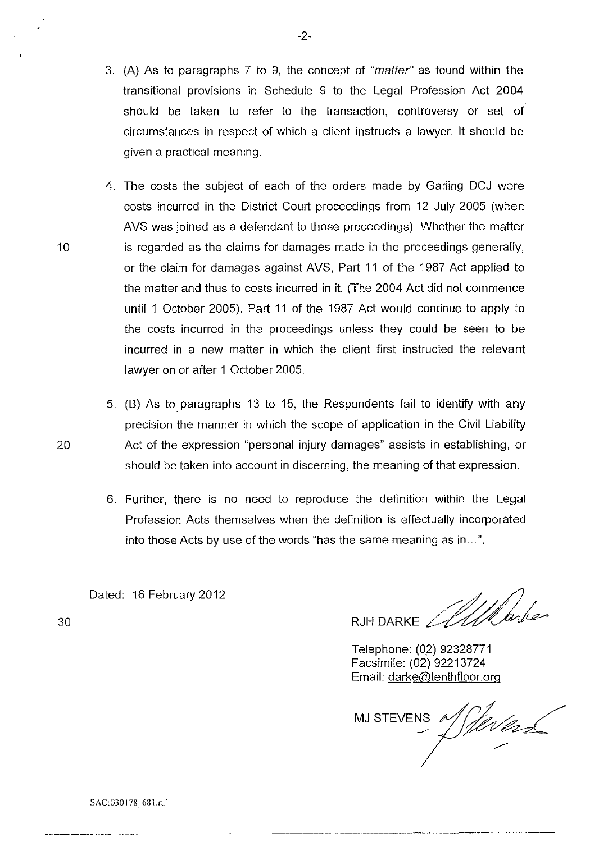- 3. (A) As to paragraphs 7 to 9, the concept of "matter" as found within the transitional provisions in Schedule 9 to the Legal Profession Act 2004 should be taken to refer to the transaction, controversy or set of circumstances in respect of which a client instructs a lawyer. It should be given a practical meaning.
- 4. The costs the subject of each of the orders made by Garling DCJ were costs incurred in the District Court proceedings from 12 July 2005 (when AVS was joined as a defendant to those proceedings). Whether the matter 10 is regarded as the claims for damages made in the proceedings generally, or the claim for damages against AVS, Part 11 of the 1987 Act applied to the matter and thus to costs incurred in it. (The 2004 Act did not commence until 1 October 2005). Part 11 of the 1987 Act would continue to apply to the costs incurred in the proceedings unless they could be seen to be incurred in a new matter in which the client first instructed the relevant lawyer on or after 1 October 2005.
- 5. (B) As to paragraphs 13 to 15, the Respondents fail to identify with any precision the manner in which the scope of application in the Civil Liability 20 Act of the expression "personal injury damages" assists in establishing, or should be taken into account in discerning, the meaning of that expression.
	- 6. Further, there is no need to reproduce the definition within the Legal Profession Acts themselves when the definition is effectually incorporated into those Acts by use of the words "has the same meaning as in ... ".

Dated: 16 February 2012

RJHDARKE AllParke

Telephone: (02) 92328771 Facsimile: (02) 92213724 Email: darke@tenthfloor.org

MJ STEVENS A -·

-2-

30